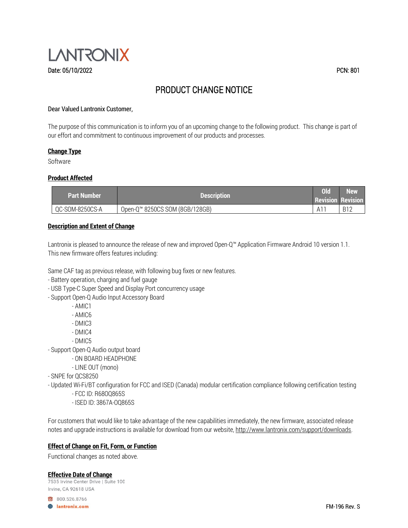

# PRODUCT CHANGE NOTICE

### Dear Valued Lantronix Customer,

The purpose of this communication is to inform you of an upcoming change to the following product. This change is part of our effort and commitment to continuous improvement of our products and processes.

### **Change Type**

Software

### **Product Affected**

| <b>Part Number</b> | <b>Description</b>                         | 0 <sub>l</sub><br><b>Revision Revision</b> | <b>New</b> |
|--------------------|--------------------------------------------|--------------------------------------------|------------|
| QC-SOM-8250CS-A    | Open-Q <sup>™</sup> 8250CS SOM (8GB/128GB) | A1                                         | - B12      |

### **Description and Extent of Change**

Lantronix is pleased to announce the release of new and improved Open-Q™ Application Firmware Android 10 version 1.1. This new firmware offers features including:

Same CAF tag as previous release, with following bug fixes or new features.

- Battery operation, charging and fuel gauge
- USB Type-C Super Speed and Display Port concurrency usage
- Support Open-Q Audio Input Accessory Board
	- AMIC1
	- AMIC6
	- DMIC3
	- DMIC4
	- DMIC5
- Support Open-Q Audio output board
	- ON BOARD HEADPHONE
	- LINE OUT (mono)
- SNPE for QCS8250
- Updated Wi-Fi/BT configuration for FCC and ISED (Canada) modular certification compliance following certification testing
	- FCC ID: R68OQ865S
	- ISED ID: 3867A-OQ865S

For customers that would like to take advantage of the new capabilities immediately, the new firmware, associated release notes and upgrade instructions is available for download from our website, [http://www.lantronix.com/support/downloads.](http://www.lantronix.com/support/downloads)

## **Effect of Change on Fit, Form, or Function**

Functional changes as noted above.

**Effective Date of Change**Irvine, CA 92618 USA

800.526.8766 **B** lantronix.com